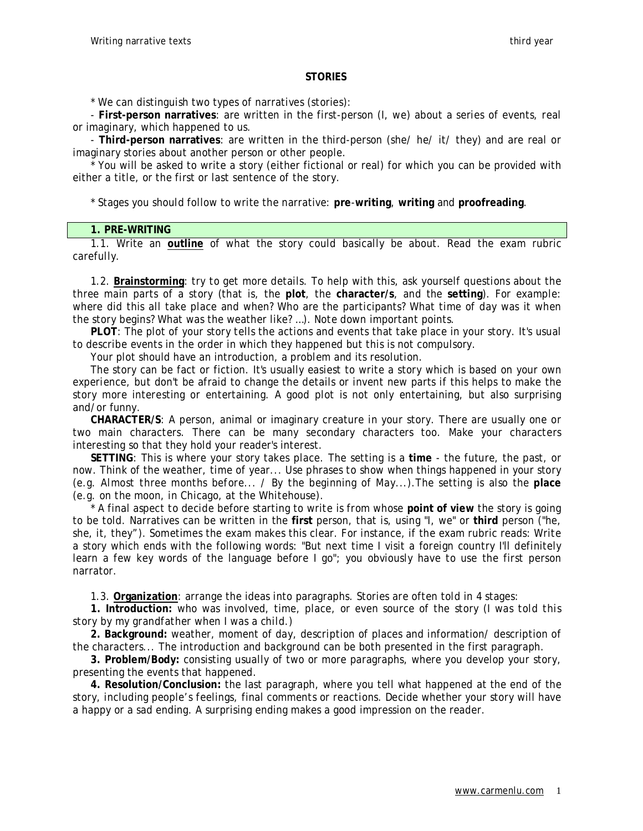# **STORIES**

\* We can distinguish two types of narratives (stories):

- **First-person narratives**: are written in the first-person (I, we) about a series of events, real or imaginary, which happened to us.

- **Third-person narratives**: are written in the third-person (she/ he/ it/ they) and are real or imaginary stories about another person or other people.

\* You will be asked to write a story (either fictional or real) for which you can be provided with either a title, or the first or last sentence of the story.

\* Stages you should follow to write the narrative: **pre**-**writing**, **writing** and **proofreading**.

#### **1. PRE-WRITING**

1.1. Write an **outline** of what the story could basically be about. Read the exam rubric carefully.

1.2. **Brainstorming**: try to get more details. To help with this, ask yourself questions about the three main parts of a story (that is, the **plot**, the **character/s**, and the **setting**). For example: where did this all take place and when? Who are the participants? What time of day was it when the story begins? What was the weather like? …). Note down important points.

**PLOT**: The plot of your story tells the actions and events that take place in your story. It's usual to describe events in the order in which they happened but this is not compulsory.

Your plot should have an introduction, a problem and its resolution.

The story can be fact or fiction. It's usually easiest to write a story which is based on your own experience, but don't be afraid to change the details or invent new parts if this helps to make the story more interesting or entertaining. A good plot is not only entertaining, but also surprising and/or funny.

**CHARACTER/S**: A person, animal or imaginary creature in your story. There are usually one or two main characters. There can be many secondary characters too. Make your characters interesting so that they hold your reader's interest.

**SETTING**: This is where your story takes place. The setting is a **time** - the future, the past, or now. Think of the weather, time of year... Use phrases to show when things happened in your story (e.g. *Almost three months before... / By the beginning of May*...).The setting is also the **place** (e.g. *on the moon, in Chicago, at the Whitehouse*).

\* A final aspect to decide before starting to write is from whose **point of view** the story is going to be told. Narratives can be written in the **first** person, that is, using "I, we" or **third** person ("he, she, it, they"). Sometimes the exam makes this clear. For instance, if the exam rubric reads: Write a story which ends with the following words: "But next time I visit a foreign country I'll definitely learn a few key words of the language before I go"; you obviously have to use the first person narrator.

1.3. **Organization**: arrange the ideas into paragraphs. Stories are often told in 4 stages:

**1. Introduction:** who was involved, time, place, or even source of the story (*I was told this story by my grandfather when I was a child.)* 

**2. Background:** weather, moment of day, description of places and information/ description of the characters... The introduction and background can be both presented in the first paragraph.

**3. Problem/Body:** consisting usually of two or more paragraphs, where you develop your story, presenting the events that happened.

**4. Resolution/Conclusion:** the last paragraph, where you tell what happened at the end of the story, including people's feelings, final comments or reactions. Decide whether your story will have a happy or a sad ending. A surprising ending makes a good impression on the reader.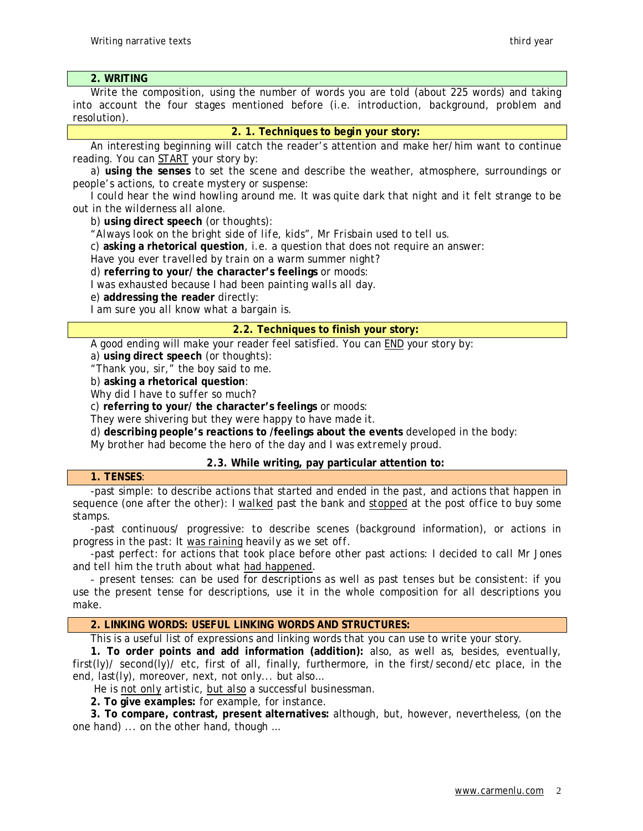# **2. WRITING**

Write the composition, using the number of words you are told (about 225 words) and taking into account the four stages mentioned before (i.e. introduction, background, problem and resolution).

#### **2. 1. Techniques to begin your story:**

An interesting beginning will catch the reader's attention and make her/him want to continue reading. You can START your story by:

a) **using the senses** to set the scene and describe the weather, atmosphere, surroundings or people's actions, to create mystery or suspense:

*I could hear the wind howling around me. It was quite dark that night and it felt strange to be out in the wilderness all alone.* 

b) **using direct speech** (or thoughts):

*"Always look on the bright side of life, kids", Mr Frisbain used to tell us.* 

c) **asking a rhetorical question**, i.e. a question that does not require an answer:

*Have you ever travelled by train on a warm summer night?* 

d) **referring to your/ the character's feelings** or moods:

*I was exhausted because I had been painting walls all day.* 

e) **addressing the reader** directly:

*I am sure you all know what a bargain is.* 

# **2.2. Techniques to finish your story:**

A good ending will make your reader feel satisfied. You can END your story by:

a) **using direct speech** (or thoughts):

"Thank you, sir," the boy said to me.

b) **asking a rhetorical question**:

*Why did I have to suffer so much?* 

c) **referring to your/ the character's feelings** or moods:

They were shivering but they were happy to have made it.

d) **describing people's reactions to /feelings about the events** developed in the body:

*My brother had become the hero of the day and I was extremely proud.* 

# **2.3. While writing, pay particular attention to:**

#### **1. TENSES**:

-past simple: to describe actions that started and ended in the past, and actions that happen in sequence (one after the other): *I walked past the bank and stopped at the post office to buy some stamps.* 

-past continuous/ progressive: to describe scenes (background information), or actions in progress in the past: *It was raining heavily as we set off.* 

-past perfect: for actions that took place before other past actions: *I decided to call Mr Jones and tell him the truth about what had happened.* 

- present tenses: can be used for descriptions as well as past tenses but be consistent: if you use the present tense for descriptions, use it in the whole composition for all descriptions you make.

# **2. LINKING WORDS: USEFUL LINKING WORDS AND STRUCTURES:**

This is a useful list of expressions and linking words that you can use to write your story.

**1. To order points and add information (addition):** also, as well as, besides, eventually, first(ly)/ second(ly)/ etc, first of all, finally, furthermore, in the first/second/etc place, in the end, last(ly), moreover, next, not only... but also…

*He is not only artistic, but also a successful businessman.* 

**2. To give examples:** for example, for instance.

**3. To compare, contrast, present alternatives:** although, but, however, nevertheless, (on the one hand) ... on the other hand, though …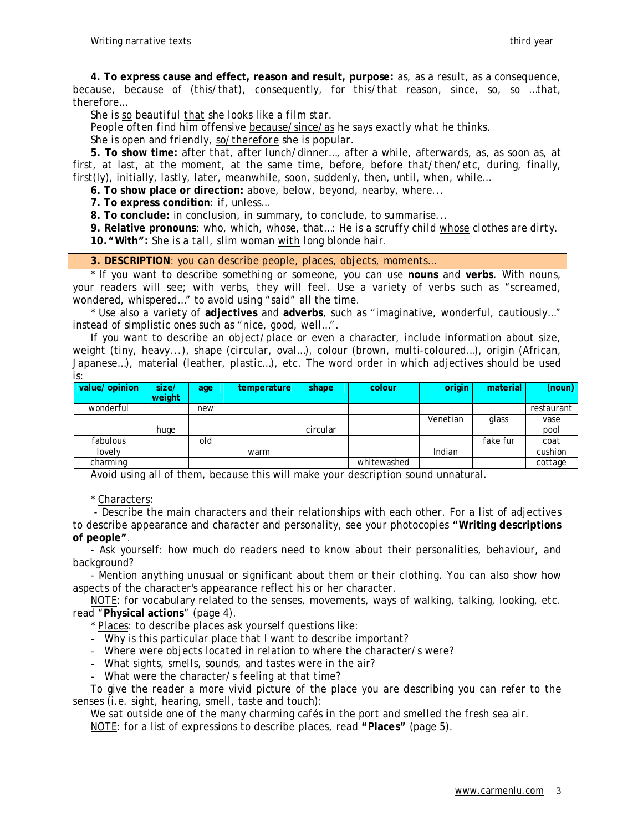**4. To express cause and effect, reason and result, purpose:** as, as a result, as a consequence, because, because of (this/that), consequently, for this/that reason, since, so, so …that, therefore…

*She is so beautiful that she looks like a film star.* 

*People often find him offensive because/since/as he says exactly what he thinks.* 

*She is open and friendly, so/therefore she is popular.* 

**5. To show time:** after that, after lunch/dinner…, after a while, afterwards, as, as soon as, at first, at last, at the moment, at the same time, before, before that/then/etc, during, finally, first(ly), initially, lastly, later, meanwhile, soon, suddenly, then, until, when, while…

**6. To show place or direction:** above, below, beyond, nearby, where...

**7. To express condition**: if, unless…

**8. To conclude:** in conclusion, in summary, to conclude, to summarise...

**9. Relative pronouns**: who, which, whose, that…: *He is a scruffy child whose clothes are dirty*.

**10."With":** *She is a tall, slim woman with long blonde hair.*

**3. DESCRIPTION**: you can describe people, places, objects, moments…

\* If you want to describe something or someone, you can use **nouns** and **verbs**. With nouns, your readers will see; with verbs, they will feel. Use a variety of verbs such as "screamed, wondered, whispered…" to avoid using "said" all the time.

\* Use also a variety of **adjectives** and **adverbs**, such as "imaginative, wonderful, cautiously…" instead of simplistic ones such as "nice, good, well…".

If you want to describe an object/place or even a character, include information about size, weight (*tiny*, *heavy*...), shape (*circular*, *oval*…), colour (brown, multi-coloured…), origin (African, Japanese…), material (leather, plastic…), etc. The word order in which adjectives should be used is:

| value/ opinion | size/<br>weight | age | temperature | shape    | colour      | origin   | material | (noun)     |
|----------------|-----------------|-----|-------------|----------|-------------|----------|----------|------------|
| wonderful      |                 | new |             |          |             |          |          | restaurant |
|                |                 |     |             |          |             | Venetian | glass    | vase       |
|                | huge            |     |             | circular |             |          |          | pool       |
| fabulous       |                 | old |             |          |             |          | fake fur | coat       |
| lovely         |                 |     | warm        |          |             | Indian   |          | cushion    |
| charming       |                 |     |             |          | whitewashed |          |          | cottage    |

Avoid using all of them, because this will make your description sound unnatural.

\* Characters:

- Describe the main characters and their relationships with each other. For a list of adjectives to describe appearance and character and personality, see your photocopies **"Writing descriptions of people"**.

- Ask yourself: how much do readers need to know about their personalities, behaviour, and background?

- Mention anything unusual or significant about them or their clothing. You can also show how aspects of the character's appearance reflect his or her character.

NOTE: for vocabulary related to the senses, movements, ways of walking, talking, looking, etc. read "**Physical actions**" (page 4).

\* Places: to describe places ask yourself questions like:

- Why is this particular place that I want to describe important?

- Where were objects located in relation to where the character/s were?

- What sights, smells, sounds, and tastes were in the air?

- What were the character/s feeling at that time?

To give the reader a more vivid picture of the place you are describing you can refer to the senses (i.e. sight, hearing, smell, taste and touch):

*We sat outside one of the many charming cafés in the port and smelled the fresh sea air.* 

NOTE: for a list of expressions to describe places, read **"Places"** (page 5).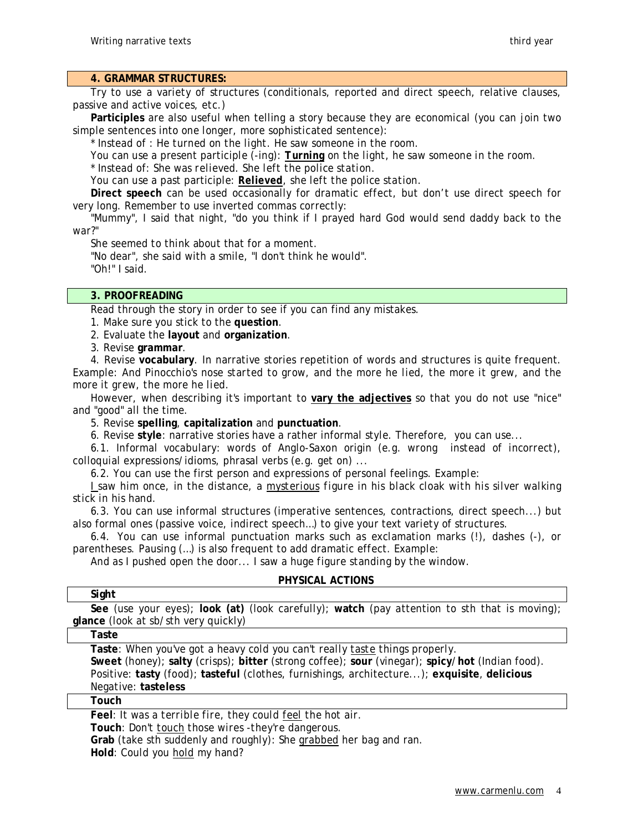# **4. GRAMMAR STRUCTURES:**

Try to use a variety of structures (conditionals, reported and direct speech, relative clauses, passive and active voices, etc.)

**Participles** are also useful when telling a story because they are economical (you can join two simple sentences into one longer, more sophisticated sentence):

\* Instead of *: He turned on the light. He saw someone in the room.* 

You can use a present participle (-ing): *Turning on the light, he saw someone in the room.* 

\* Instead of: *She was relieved. She left the police station*.

You can use a past participle: *Relieved, she left the police station.* 

**Direct speech** can be used occasionally for dramatic effect, but don't use direct speech for very long. Remember to use inverted commas correctly:

"Mummy", I said that night, "do you think if I prayed hard God would send daddy back to the war?"

She seemed to think about that for a moment.

"No dear", she said with a smile, "I don't think he would". "Oh!" I said.

# **3. PROOFREADING**

Read through the story in order to see if you can find any mistakes.

1. Make sure you stick to the **question**.

2. Evaluate the **layout** and **organization**.

3. Revise **grammar**.

4. Revise **vocabulary**. In narrative stories repetition of words and structures is quite frequent. Example: *And Pinocchio's nose started to grow, and the more he lied, the more it grew, and the more it grew, the more he lied.* 

However, when describing it's important to **vary the adjectives** so that you do not use "nice" and "good" all the time.

5. Revise **spelling**, **capitalization** and **punctuation**.

6. Revise **style**: narrative stories have a rather informal style. Therefore, you can use...

6.1. Informal vocabulary: words of Anglo-Saxon origin (e.g. *wrong* instead of *incorrect)*, colloquial expressions/idioms, phrasal verbs (e.g. *get on*) ...

6.2. You can use the first person and expressions of personal feelings. Example:

*I saw him once, in the distance, a mysterious figure in his black cloak with his silver walking stick in his hand.* 

6.3. You can use informal structures (imperative sentences, contractions, direct speech...) but also formal ones (passive voice, indirect speech…) to give your text variety of structures.

6.4. You can use informal punctuation marks such as exclamation marks (!), dashes (-), or parentheses. Pausing (…) is also frequent to add dramatic effect. Example:

*And as I pushed open the door... I saw a huge figure standing by the window.*

# **PHYSICAL ACTIONS**

# **Sight See** (use your eyes); **look (at)** (look carefully); **watch** (pay attention to sth that is moving);

**glance** (look at sb/sth very quickly)

#### **Taste**

**Taste**: *When you've got a heavy cold you can't really taste things properly.* **Sweet** (honey); **salty** (crisps); **bitter** (strong coffee); **sour** (vinegar); **spicy**/**hot** (Indian food). Positive: **tasty** (food); **tasteful** (clothes, furnishings, architecture...); **exquisite**, **delicious** Negative: **tasteless** 

#### **Touch**

**Feel**: *It was a terrible fire, they could feel the hot air.*  **Touch***: Don't touch those wires -they're dangerous.*  **Grab** (take sth suddenly and roughly)*: She grabbed her bag and ran.*  **Hold***: Could you hold my hand?*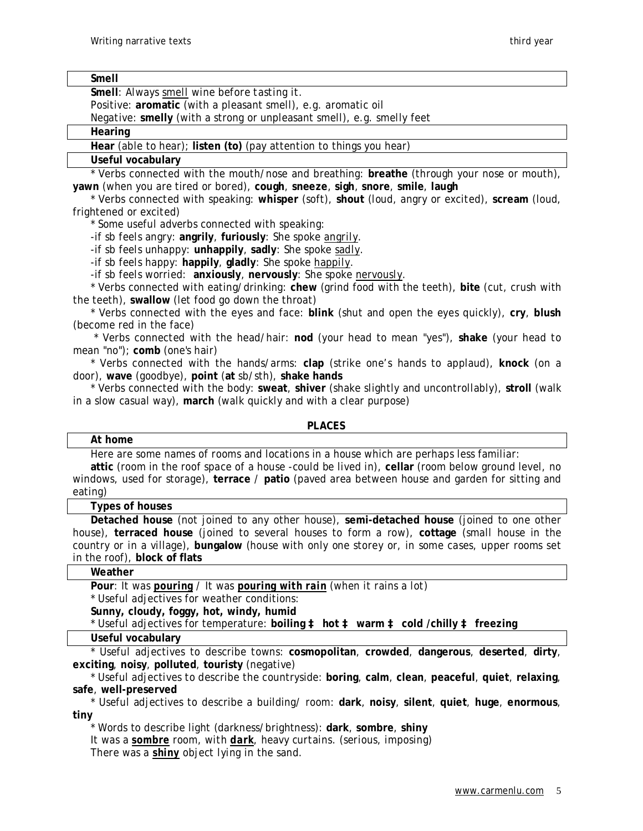**Smell** 

| мнен                                                                                             |
|--------------------------------------------------------------------------------------------------|
| Smell: Always smell wine before tasting it.                                                      |
| Positive: aromatic (with a pleasant smell), e.g. aromatic oil                                    |
| Negative: smelly (with a strong or unpleasant smell), e.g. smelly feet                           |
| Hearing                                                                                          |
| Hear (able to hear); listen (to) (pay attention to things you hear)                              |
| Useful vocabulary                                                                                |
| * Verbs connected with the mouth/nose and breathing: <b>breathe</b> (through your nose or mouth) |

\* Verbs connected with the mouth/nose and breathing: **breathe** (through your nose or mouth), **yawn** (when you are tired or bored), **cough**, **sneeze**, **sigh**, **snore**, **smile**, **laugh**

\* Verbs connected with speaking: **whisper** (soft), **shout** (loud, angry or excited), **scream** (loud, frightened or excited)

\* Some useful adverbs connected with speaking:

-if sb feels angry: **angrily**, **furiously**: *She spoke angrily*.

-if sb feels unhappy: **unhappily**, **sadly**: *She spoke sadly*.

-if sb feels happy: **happily**, **gladly**: *She spoke happily*.

-if sb feels worried: **anxiously**, **nervously**: *She spoke nervously*.

\* Verbs connected with eating/drinking: **chew** (grind food with the teeth), **bite** (cut, crush with the teeth), **swallow** (let food go down the throat)

\* Verbs connected with the eyes and face: **blink** (shut and open the eyes quickly), **cry**, **blush** (become red in the face)

\* Verbs connected with the head/hair: **nod** (your head to mean "yes"), **shake** (your head to mean "no"); **comb** (one's hair)

\* Verbs connected with the hands/arms: **clap** (strike one's hands to applaud), **knock** (on a door), **wave** (goodbye), **point** (**at** sb/sth), **shake hands**

\* Verbs connected with the body: **sweat**, **shiver** (shake slightly and uncontrollably), **stroll** (walk in a slow casual way), **march** (walk quickly and with a clear purpose)

# **PLACES**

#### **At home**

Here are some names of rooms and locations in a house which are perhaps less familiar: **attic** (room in the roof space of a house -could be lived in), **cellar** (room below ground level, no windows, used for storage), **terrace** / **patio** (paved area between house and garden for sitting and eating)

#### **Types of houses**

**Detached house** (not joined to any other house), **semi-detached house** (joined to one other house), **terraced house** (joined to several houses to form a row), **cottage** (small house in the country or in a village), **bungalow** (house with only one storey or, in some cases, upper rooms set in the roof), **block of flats**

#### **Weather**

**Pour**: *It was pouring / It was pouring with rain (when it rains a lot)* 

\* Useful adjectives for weather conditions:

**Sunny, cloudy, foggy, hot, windy, humid** 

\* Useful adjectives for temperature: **boiling à hot à warm à cold /chilly à freezing** 

### **Useful vocabulary**

\* Useful adjectives to describe towns: **cosmopolitan**, **crowded**, **dangerous**, **deserted**, **dirty**, **exciting**, **noisy**, **polluted**, **touristy** (negative)

\* Useful adjectives to describe the countryside: **boring**, **calm**, **clean**, **peaceful**, **quiet**, **relaxing**, **safe**, **well-preserved**

\* Useful adjectives to describe a building/ room: **dark**, **noisy**, **silent**, **quiet**, **huge**, **enormous**, **tiny**

\* Words to describe light (darkness/brightness): **dark**, **sombre**, **shiny** *It was a sombre room, with dark, heavy curtains. (serious, imposing) There was a shiny object lying in the sand.*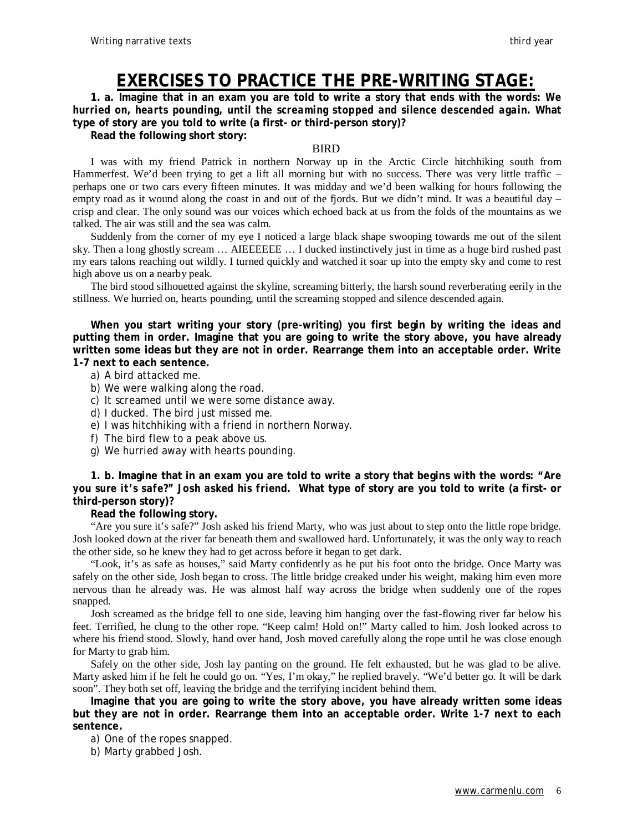# **EXERCISES TO PRACTICE THE PRE-WRITING STAGE:**

1. a. Imagine that in an exam you are told to write a story that ends with the words: We *hurried on, hearts pounding, until the screaming stopped and silence descended again***. What type of story are you told to write (a first- or third-person story)?** 

**Read the following short story:** 

### BIRD

I was with my friend Patrick in northern Norway up in the Arctic Circle hitchhiking south from Hammerfest. We'd been trying to get a lift all morning but with no success. There was very little traffic – perhaps one or two cars every fifteen minutes. It was midday and we'd been walking for hours following the empty road as it wound along the coast in and out of the fjords. But we didn't mind. It was a beautiful day – crisp and clear. The only sound was our voices which echoed back at us from the folds of the mountains as we talked. The air was still and the sea was calm.

Suddenly from the corner of my eye I noticed a large black shape swooping towards me out of the silent sky. Then a long ghostly scream … AIEEEEEE … I ducked instinctively just in time as a huge bird rushed past my ears talons reaching out wildly. I turned quickly and watched it soar up into the empty sky and come to rest high above us on a nearby peak.

The bird stood silhouetted against the skyline, screaming bitterly, the harsh sound reverberating eerily in the stillness. We hurried on, hearts pounding, until the screaming stopped and silence descended again.

**When you start writing your story (pre-writing) you first begin by writing the ideas and putting them in order. Imagine that you are going to write the story above, you have already written some ideas but they are not in order. Rearrange them into an acceptable order. Write 1-7 next to each sentence.** 

- a) A bird attacked me.
- b) We were walking along the road.
- c) It screamed until we were some distance away.
- d) I ducked. The bird just missed me.
- e) I was hitchhiking with a friend in northern Norway.
- f) The bird flew to a peak above us.
- g) We hurried away with hearts pounding.

**1. b. Imagine that in an exam you are told to write a story that begins with the words:** *"Are*  you sure it's safe?" Josh asked his friend. What type of story are you told to write (a first- or **third-person story)?** 

**Read the following story.** 

"Are you sure it's safe?" Josh asked his friend Marty, who was just about to step onto the little rope bridge. Josh looked down at the river far beneath them and swallowed hard. Unfortunately, it was the only way to reach the other side, so he knew they had to get across before it began to get dark.

"Look, it's as safe as houses," said Marty confidently as he put his foot onto the bridge. Once Marty was safely on the other side, Josh began to cross. The little bridge creaked under his weight, making him even more nervous than he already was. He was almost half way across the bridge when suddenly one of the ropes snapped.

Josh screamed as the bridge fell to one side, leaving him hanging over the fast-flowing river far below his feet. Terrified, he clung to the other rope. "Keep calm! Hold on!" Marty called to him. Josh looked across to where his friend stood. Slowly, hand over hand, Josh moved carefully along the rope until he was close enough for Marty to grab him.

Safely on the other side, Josh lay panting on the ground. He felt exhausted, but he was glad to be alive. Marty asked him if he felt he could go on. "Yes, I'm okay," he replied bravely. "We'd better go. It will be dark soon". They both set off, leaving the bridge and the terrifying incident behind them.

**Imagine that you are going to write the story above, you have already written some ideas but they are not in order. Rearrange them into an acceptable order. Write 1-7 next to each sentence.** 

a) One of the ropes snapped.

b) Marty grabbed Josh.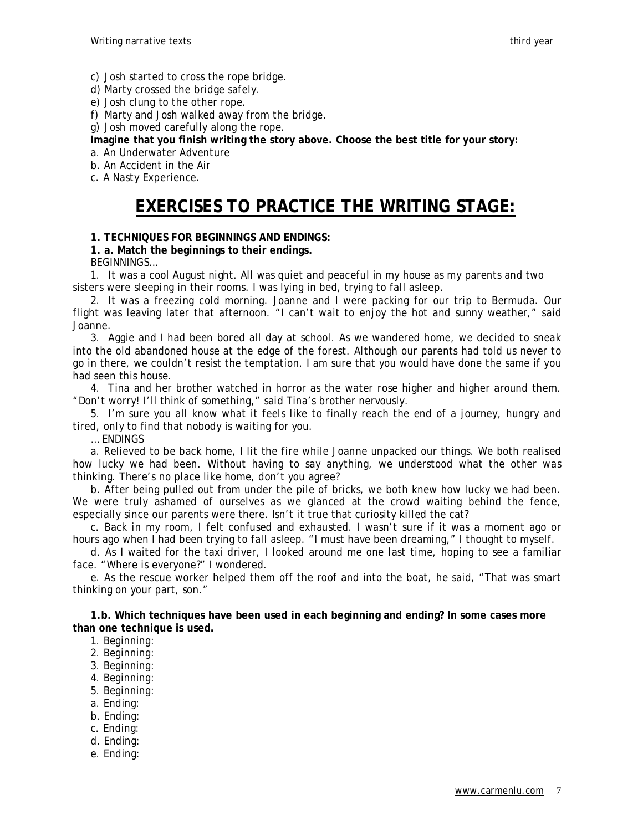c) Josh started to cross the rope bridge.

d) Marty crossed the bridge safely.

e) Josh clung to the other rope.

f) Marty and Josh walked away from the bridge.

g) Josh moved carefully along the rope.

**Imagine that you finish writing the story above. Choose the best title for your story:** 

a. An Underwater Adventure

b. An Accident in the Air

c. A Nasty Experience.

# **EXERCISES TO PRACTICE THE WRITING STAGE:**

# **1. TECHNIQUES FOR BEGINNINGS AND ENDINGS:**

# **1. a. Match the beginnings to their endings.**

BEGINNINGS…

1. It was a cool August night. All was quiet and peaceful in my house as my parents and two sisters were sleeping in their rooms. I was lying in bed, trying to fall asleep.

2. It was a freezing cold morning. Joanne and I were packing for our trip to Bermuda. Our flight was leaving later that afternoon. "I can't wait to enjoy the hot and sunny weather," said Joanne.

3. Aggie and I had been bored all day at school. As we wandered home, we decided to sneak into the old abandoned house at the edge of the forest. Although our parents had told us never to go in there, we couldn't resist the temptation. I am sure that you would have done the same if you had seen this house.

4. Tina and her brother watched in horror as the water rose higher and higher around them. "Don't worry! I'll think of something," said Tina's brother nervously.

5. I'm sure you all know what it feels like to finally reach the end of a journey, hungry and tired, only to find that nobody is waiting for you.

… ENDINGS

a. Relieved to be back home, I lit the fire while Joanne unpacked our things. We both realised how lucky we had been. Without having to say anything, we understood what the other was thinking. There's no place like home, don't you agree?

b. After being pulled out from under the pile of bricks, we both knew how lucky we had been. We were truly ashamed of ourselves as we glanced at the crowd waiting behind the fence, especially since our parents were there. Isn't it true that curiosity killed the cat?

c. Back in my room, I felt confused and exhausted. I wasn't sure if it was a moment ago or hours ago when I had been trying to fall asleep. "I must have been dreaming," I thought to myself.

d. As I waited for the taxi driver, I looked around me one last time, hoping to see a familiar face. "Where is everyone?" I wondered.

e. As the rescue worker helped them off the roof and into the boat, he said, "That was smart thinking on your part, son."

**1.b. Which techniques have been used in each beginning and ending? In some cases more than one technique is used.** 

- 1. Beginning:
- 2. Beginning:
- 3. Beginning:
- 4. Beginning:
- 5. Beginning:
- a. Ending:
- b. Ending:
- c. Ending:
- d. Ending:
- e. Ending: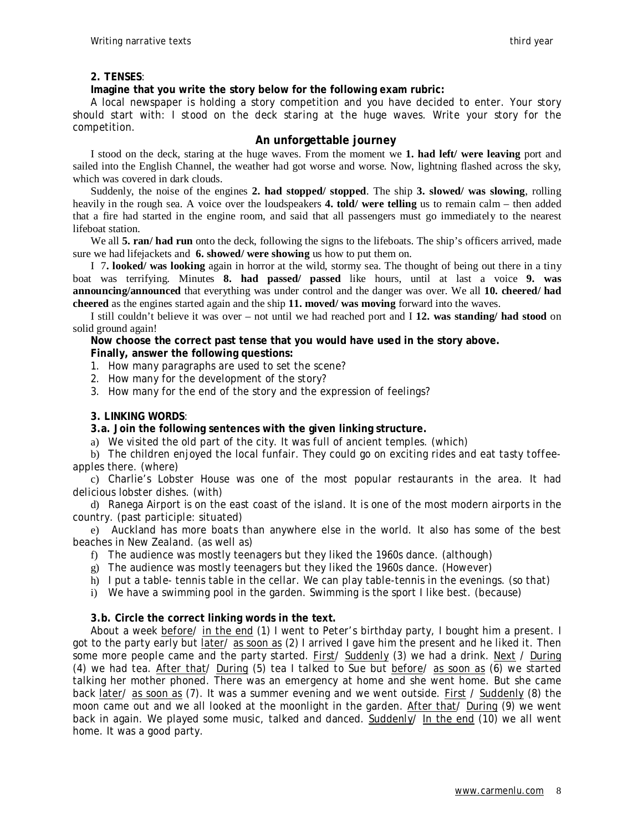#### **2. TENSES**:

#### **Imagine that you write the story below for the following exam rubric:**

A local newspaper is holding a story competition and you have decided to enter. Your story should start with: *I stood on the deck staring at the huge waves*. Write your story for the competition.

# **An unforgettable journey**

I stood on the deck, staring at the huge waves. From the moment we **1. had left/ were leaving** port and sailed into the English Channel, the weather had got worse and worse. Now, lightning flashed across the sky, which was covered in dark clouds.

Suddenly, the noise of the engines **2. had stopped/ stopped**. The ship **3. slowed/ was slowing**, rolling heavily in the rough sea. A voice over the loudspeakers **4. told/ were telling** us to remain calm – then added that a fire had started in the engine room, and said that all passengers must go immediately to the nearest lifeboat station.

We all **5. ran/ had run** onto the deck, following the signs to the lifeboats. The ship's officers arrived, made sure we had lifejackets and **6. showed/ were showing** us how to put them on.

I 7**. looked/ was looking** again in horror at the wild, stormy sea. The thought of being out there in a tiny boat was terrifying. Minutes **8. had passed/ passed** like hours, until at last a voice **9. was announcing/announced** that everything was under control and the danger was over. We all **10. cheered/ had cheered** as the engines started again and the ship **11. moved/ was moving** forward into the waves.

I still couldn't believe it was over – not until we had reached port and I **12. was standing/ had stood** on solid ground again!

**Now choose the correct past tense that you would have used in the story above.** 

#### **Finally, answer the following questions:**

- 1. How many paragraphs are used to set the scene?
- 2. How many for the development of the story?
- 3. How many for the end of the story and the expression of feelings?

#### **3. LINKING WORDS**:

#### **3.a. Join the following sentences with the given linking structure.**

a) We visited the old part of the city. It was full of ancient temples. (which)

b) The children enjoyed the local funfair. They could go on exciting rides and eat tasty toffeeapples there. (where)

c) Charlie's Lobster House was one of the most popular restaurants in the area. It had delicious lobster dishes. (with)

d) Ranega Airport is on the east coast of the island. It is one of the most modern airports in the country. (past participle: situated)

e) Auckland has more boats than anywhere else in the world. It also has some of the best beaches in New Zealand. (as well as)

- f) The audience was mostly teenagers but they liked the 1960s dance. (although)
- g) The audience was mostly teenagers but they liked the 1960s dance. (However)
- h) I put a table- tennis table in the cellar. We can play table-tennis in the evenings. (so that)
- i) We have a swimming pool in the garden. Swimming is the sport I like best. (because)

#### **3.b. Circle the correct linking words in the text.**

About a week before/ in the end (1) I went to Peter's birthday party, I bought him a present. I got to the party early but *later/* as soon as (2) I arrived I gave him the present and he liked it. Then some more people came and the party started. First/ Suddenly (3) we had a drink. Next / During (4) we had tea. After that/ During (5) tea I talked to Sue but before/ as soon as (6) we started talking her mother phoned. There was an emergency at home and she went home. But she came back later/ as soon as (7). It was a summer evening and we went outside. First / Suddenly (8) the moon came out and we all looked at the moonlight in the garden. After that/ During (9) we went back in again. We played some music, talked and danced. Suddenly/ In the end (10) we all went home. It was a good party.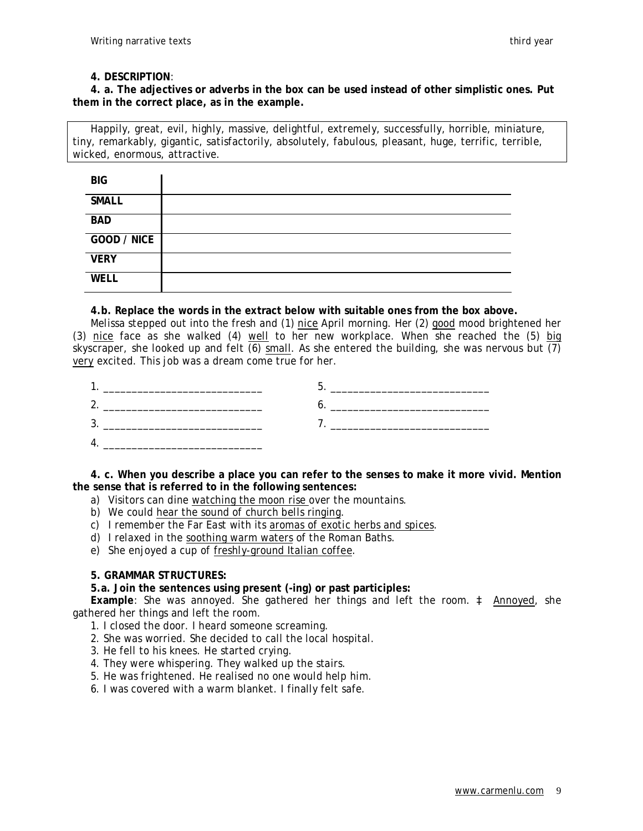#### **4. DESCRIPTION**:

**4. a. The adjectives or adverbs in the box can be used instead of other simplistic ones. Put them in the correct place, as in the example.** 

Happily, great, evil, highly, massive, delightful, extremely, successfully, horrible, miniature, tiny, remarkably, gigantic, satisfactorily, absolutely, fabulous, pleasant, huge, terrific, terrible, wicked, enormous, attractive.

| <b>BIG</b>   |  |
|--------------|--|
| <b>SMALL</b> |  |
| <b>BAD</b>   |  |
| GOOD / NICE  |  |
| <b>VERY</b>  |  |
| <b>WELL</b>  |  |

# **4.b. Replace the words in the extract below with suitable ones from the box above.**

Melissa stepped out into the fresh and (1) nice April morning. Her (2) good mood brightened her (3) nice face as she walked (4) well to her new workplace. When she reached the (5) big skyscraper, she looked up and felt (6) small. As she entered the building, she was nervous but (7) very excited. This job was a dream come true for her.

| __ |  |
|----|--|
| -  |  |
| ີ  |  |
|    |  |

**4. c. When you describe a place you can refer to the senses to make it more vivid. Mention the sense that is referred to in the following sentences:** 

- a) Visitors can dine watching the moon rise over the mountains.
- b) We could hear the sound of church bells ringing.
- c) I remember the Far East with its aromas of exotic herbs and spices.
- d) I relaxed in the soothing warm waters of the Roman Baths.
- e) She enjoyed a cup of freshly-ground Italian coffee.

# **5. GRAMMAR STRUCTURES:**

# **5.a. Join the sentences using present (-ing) or past participles:**

**Example**: She was annoyed. She gathered her things and left the room. à Annoyed, she gathered her things and left the room.

- 1. I closed the door. I heard someone screaming.
- 2. She was worried. She decided to call the local hospital.
- 3. He fell to his knees. He started crying.
- 4. They were whispering. They walked up the stairs.
- 5. He was frightened. He realised no one would help him.
- 6. I was covered with a warm blanket. I finally felt safe.